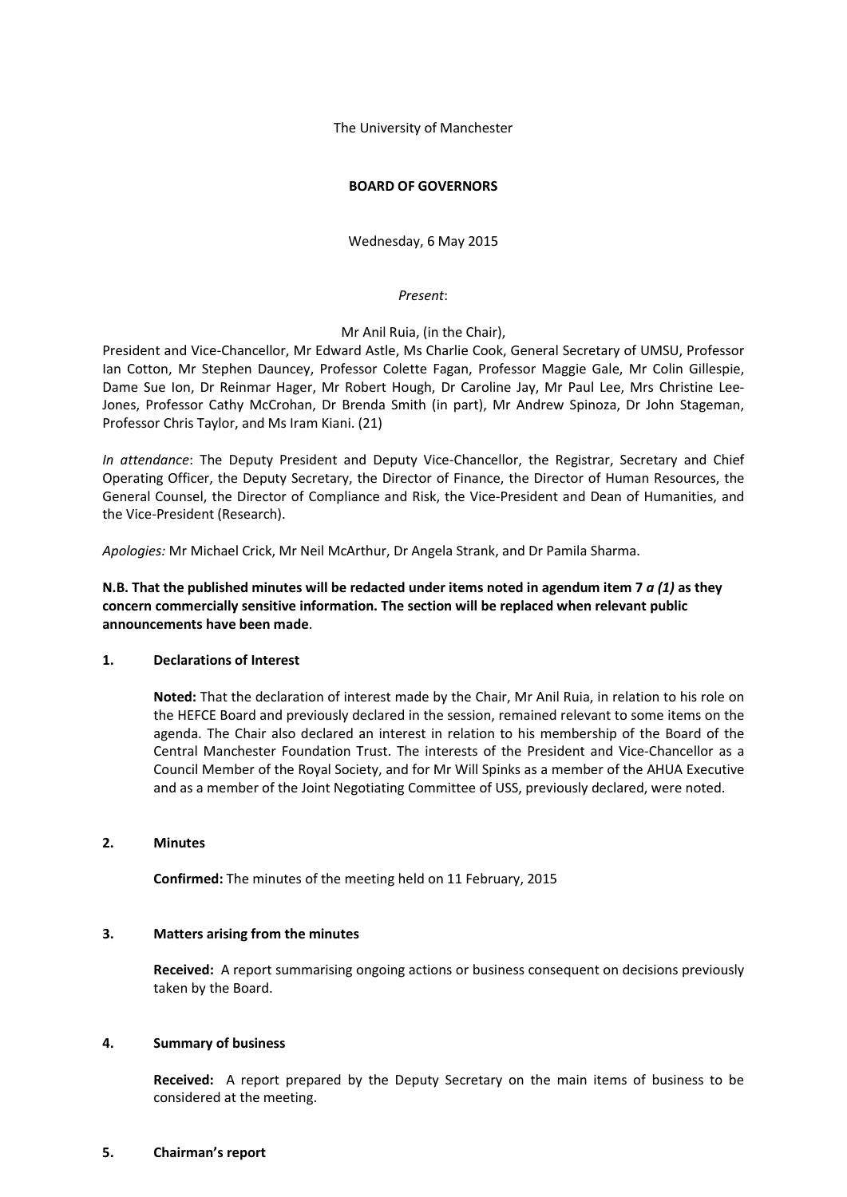The University of Manchester

### **BOARD OF GOVERNORS**

Wednesday, 6 May 2015

### *Present*:

Mr Anil Ruia, (in the Chair),

President and Vice-Chancellor, Mr Edward Astle, Ms Charlie Cook, General Secretary of UMSU, Professor Ian Cotton, Mr Stephen Dauncey, Professor Colette Fagan, Professor Maggie Gale, Mr Colin Gillespie, Dame Sue Ion, Dr Reinmar Hager, Mr Robert Hough, Dr Caroline Jay, Mr Paul Lee, Mrs Christine Lee-Jones, Professor Cathy McCrohan, Dr Brenda Smith (in part), Mr Andrew Spinoza, Dr John Stageman, Professor Chris Taylor, and Ms Iram Kiani. (21)

*In attendance*: The Deputy President and Deputy Vice-Chancellor, the Registrar, Secretary and Chief Operating Officer, the Deputy Secretary, the Director of Finance, the Director of Human Resources, the General Counsel, the Director of Compliance and Risk, the Vice-President and Dean of Humanities, and the Vice-President (Research).

*Apologies:* Mr Michael Crick, Mr Neil McArthur, Dr Angela Strank, and Dr Pamila Sharma.

**N.B. That the published minutes will be redacted under items noted in agendum item 7** *a (1)* **as they concern commercially sensitive information. The section will be replaced when relevant public announcements have been made**.

# **1. Declarations of Interest**

**Noted:** That the declaration of interest made by the Chair, Mr Anil Ruia, in relation to his role on the HEFCE Board and previously declared in the session, remained relevant to some items on the agenda. The Chair also declared an interest in relation to his membership of the Board of the Central Manchester Foundation Trust. The interests of the President and Vice-Chancellor as a Council Member of the Royal Society, and for Mr Will Spinks as a member of the AHUA Executive and as a member of the Joint Negotiating Committee of USS, previously declared, were noted.

#### **2. Minutes**

**Confirmed:** The minutes of the meeting held on 11 February, 2015

## **3. Matters arising from the minutes**

**Received:** A report summarising ongoing actions or business consequent on decisions previously taken by the Board.

#### **4. Summary of business**

**Received:** A report prepared by the Deputy Secretary on the main items of business to be considered at the meeting.

#### **5. Chairman's report**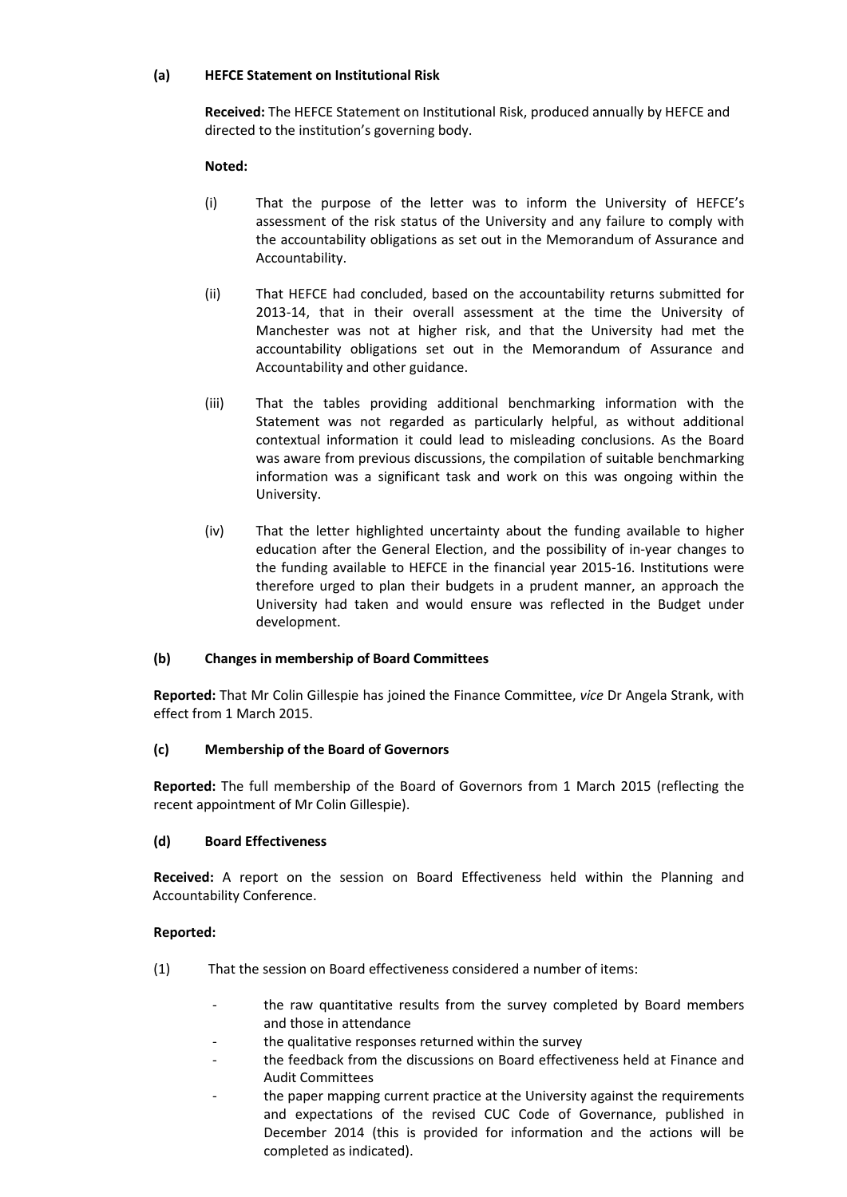## **(a) HEFCE Statement on Institutional Risk**

**Received:** The HEFCE Statement on Institutional Risk, produced annually by HEFCE and directed to the institution's governing body.

### **Noted:**

- (i) That the purpose of the letter was to inform the University of HEFCE's assessment of the risk status of the University and any failure to comply with the accountability obligations as set out in the Memorandum of Assurance and Accountability.
- (ii) That HEFCE had concluded, based on the accountability returns submitted for 2013-14, that in their overall assessment at the time the University of Manchester was not at higher risk, and that the University had met the accountability obligations set out in the Memorandum of Assurance and Accountability and other guidance.
- (iii) That the tables providing additional benchmarking information with the Statement was not regarded as particularly helpful, as without additional contextual information it could lead to misleading conclusions. As the Board was aware from previous discussions, the compilation of suitable benchmarking information was a significant task and work on this was ongoing within the University.
- (iv) That the letter highlighted uncertainty about the funding available to higher education after the General Election, and the possibility of in-year changes to the funding available to HEFCE in the financial year 2015-16. Institutions were therefore urged to plan their budgets in a prudent manner, an approach the University had taken and would ensure was reflected in the Budget under development.

## **(b) Changes in membership of Board Committees**

**Reported:** That Mr Colin Gillespie has joined the Finance Committee, *vice* Dr Angela Strank, with effect from 1 March 2015.

## **(c) Membership of the Board of Governors**

**Reported:** The full membership of the Board of Governors from 1 March 2015 (reflecting the recent appointment of Mr Colin Gillespie).

#### **(d) Board Effectiveness**

**Received:** A report on the session on Board Effectiveness held within the Planning and Accountability Conference.

- (1) That the session on Board effectiveness considered a number of items:
	- the raw quantitative results from the survey completed by Board members and those in attendance
	- the qualitative responses returned within the survey
	- the feedback from the discussions on Board effectiveness held at Finance and Audit Committees
	- the paper mapping current practice at the University against the requirements and expectations of the revised CUC Code of Governance, published in December 2014 (this is provided for information and the actions will be completed as indicated).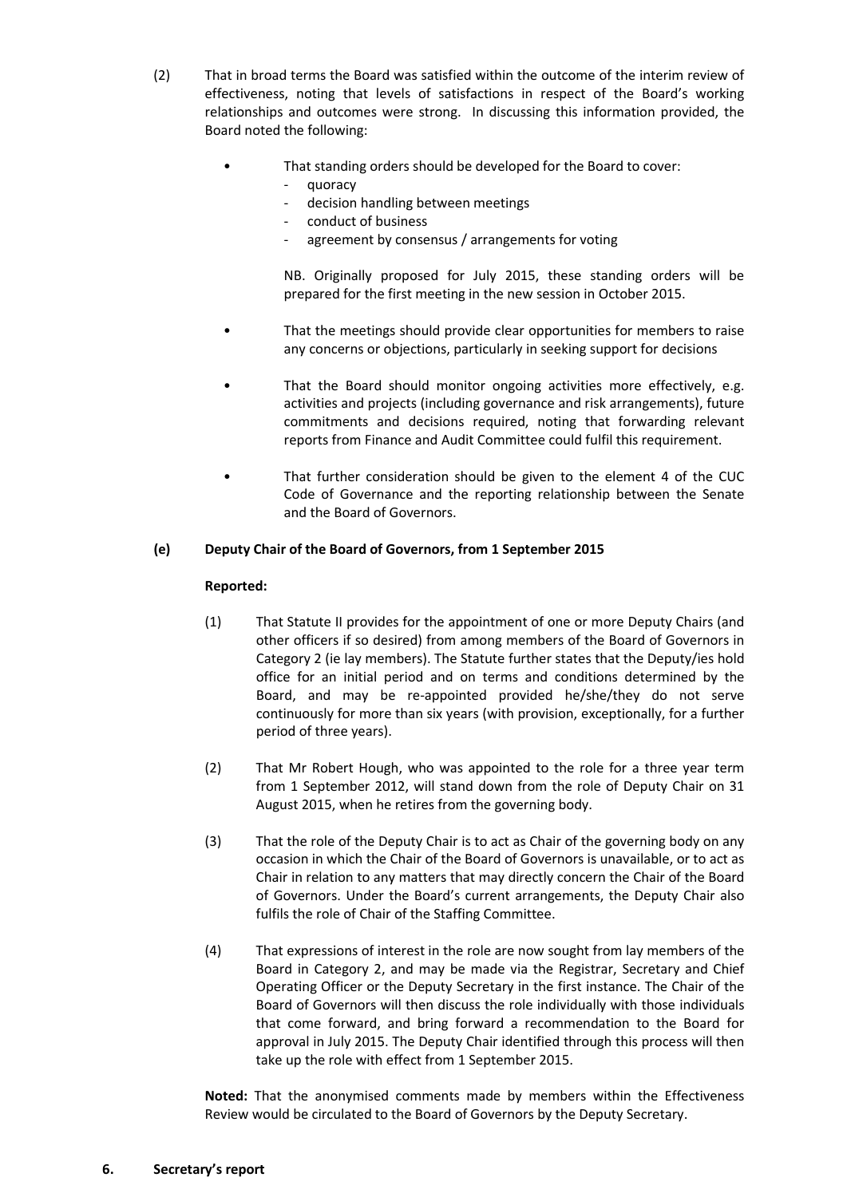- (2) That in broad terms the Board was satisfied within the outcome of the interim review of effectiveness, noting that levels of satisfactions in respect of the Board's working relationships and outcomes were strong. In discussing this information provided, the Board noted the following:
	- That standing orders should be developed for the Board to cover:
		- quoracy
		- decision handling between meetings
		- conduct of business
		- agreement by consensus / arrangements for voting

NB. Originally proposed for July 2015, these standing orders will be prepared for the first meeting in the new session in October 2015.

- That the meetings should provide clear opportunities for members to raise any concerns or objections, particularly in seeking support for decisions
- That the Board should monitor ongoing activities more effectively, e.g. activities and projects (including governance and risk arrangements), future commitments and decisions required, noting that forwarding relevant reports from Finance and Audit Committee could fulfil this requirement.
- That further consideration should be given to the element 4 of the CUC Code of Governance and the reporting relationship between the Senate and the Board of Governors.

## **(e) Deputy Chair of the Board of Governors, from 1 September 2015**

#### **Reported:**

- (1) That Statute II provides for the appointment of one or more Deputy Chairs (and other officers if so desired) from among members of the Board of Governors in Category 2 (ie lay members). The Statute further states that the Deputy/ies hold office for an initial period and on terms and conditions determined by the Board, and may be re-appointed provided he/she/they do not serve continuously for more than six years (with provision, exceptionally, for a further period of three years).
- (2) That Mr Robert Hough, who was appointed to the role for a three year term from 1 September 2012, will stand down from the role of Deputy Chair on 31 August 2015, when he retires from the governing body.
- (3) That the role of the Deputy Chair is to act as Chair of the governing body on any occasion in which the Chair of the Board of Governors is unavailable, or to act as Chair in relation to any matters that may directly concern the Chair of the Board of Governors. Under the Board's current arrangements, the Deputy Chair also fulfils the role of Chair of the Staffing Committee.
- (4) That expressions of interest in the role are now sought from lay members of the Board in Category 2, and may be made via the Registrar, Secretary and Chief Operating Officer or the Deputy Secretary in the first instance. The Chair of the Board of Governors will then discuss the role individually with those individuals that come forward, and bring forward a recommendation to the Board for approval in July 2015. The Deputy Chair identified through this process will then take up the role with effect from 1 September 2015.

**Noted:** That the anonymised comments made by members within the Effectiveness Review would be circulated to the Board of Governors by the Deputy Secretary.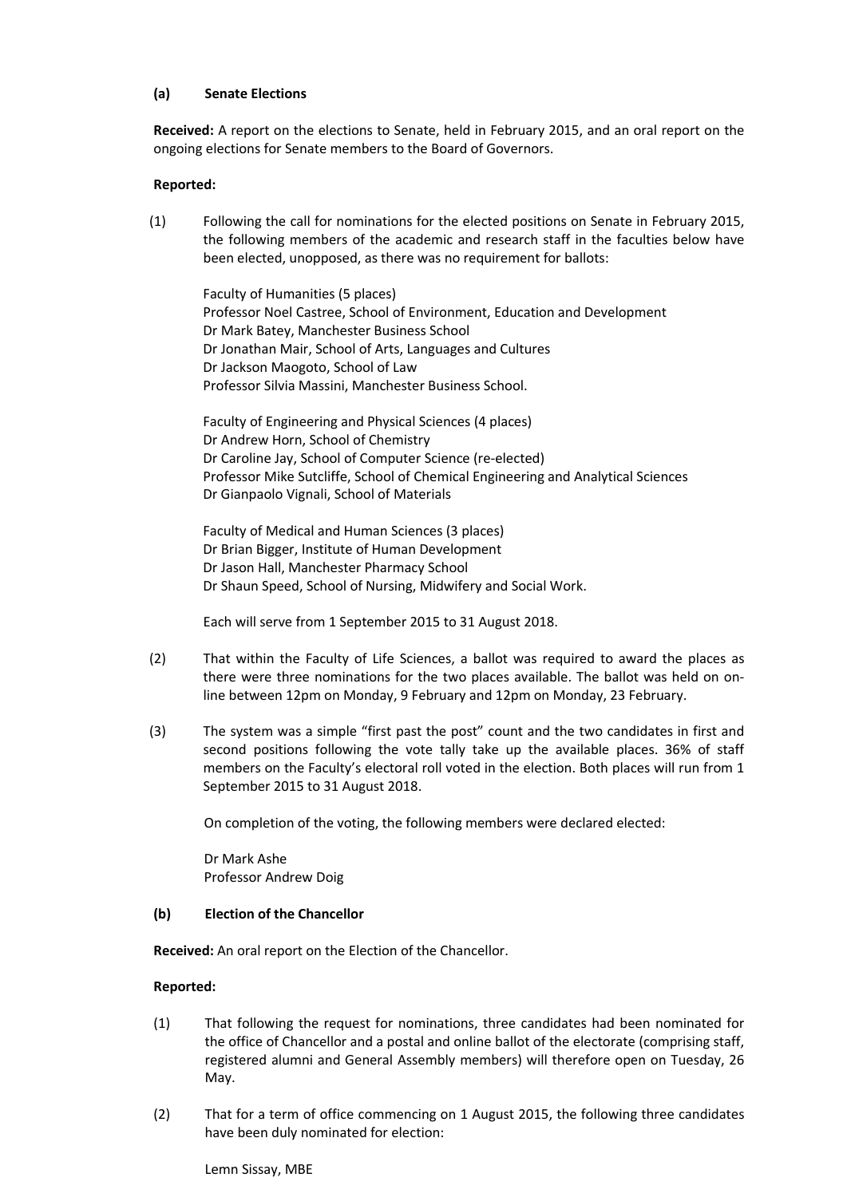### **(a) Senate Elections**

**Received:** A report on the elections to Senate, held in February 2015, and an oral report on the ongoing elections for Senate members to the Board of Governors.

### **Reported:**

(1) Following the call for nominations for the elected positions on Senate in February 2015, the following members of the academic and research staff in the faculties below have been elected, unopposed, as there was no requirement for ballots:

Faculty of Humanities (5 places) Professor Noel Castree, School of Environment, Education and Development Dr Mark Batey, Manchester Business School Dr Jonathan Mair, School of Arts, Languages and Cultures Dr Jackson Maogoto, School of Law Professor Silvia Massini, Manchester Business School.

Faculty of Engineering and Physical Sciences (4 places) Dr Andrew Horn, School of Chemistry Dr Caroline Jay, School of Computer Science (re-elected) Professor Mike Sutcliffe, School of Chemical Engineering and Analytical Sciences Dr Gianpaolo Vignali, School of Materials

Faculty of Medical and Human Sciences (3 places) Dr Brian Bigger, Institute of Human Development Dr Jason Hall, Manchester Pharmacy School Dr Shaun Speed, School of Nursing, Midwifery and Social Work.

Each will serve from 1 September 2015 to 31 August 2018.

- (2) That within the Faculty of Life Sciences, a ballot was required to award the places as there were three nominations for the two places available. The ballot was held on online between 12pm on Monday, 9 February and 12pm on Monday, 23 February.
- (3) The system was a simple "first past the post" count and the two candidates in first and second positions following the vote tally take up the available places. 36% of staff members on the Faculty's electoral roll voted in the election. Both places will run from 1 September 2015 to 31 August 2018.

On completion of the voting, the following members were declared elected:

Dr Mark Ashe Professor Andrew Doig

#### **(b) Election of the Chancellor**

**Received:** An oral report on the Election of the Chancellor.

#### **Reported:**

- (1) That following the request for nominations, three candidates had been nominated for the office of Chancellor and a postal and online ballot of the electorate (comprising staff, registered alumni and General Assembly members) will therefore open on Tuesday, 26 May.
- (2) That for a term of office commencing on 1 August 2015, the following three candidates have been duly nominated for election:

Lemn Sissay, MBE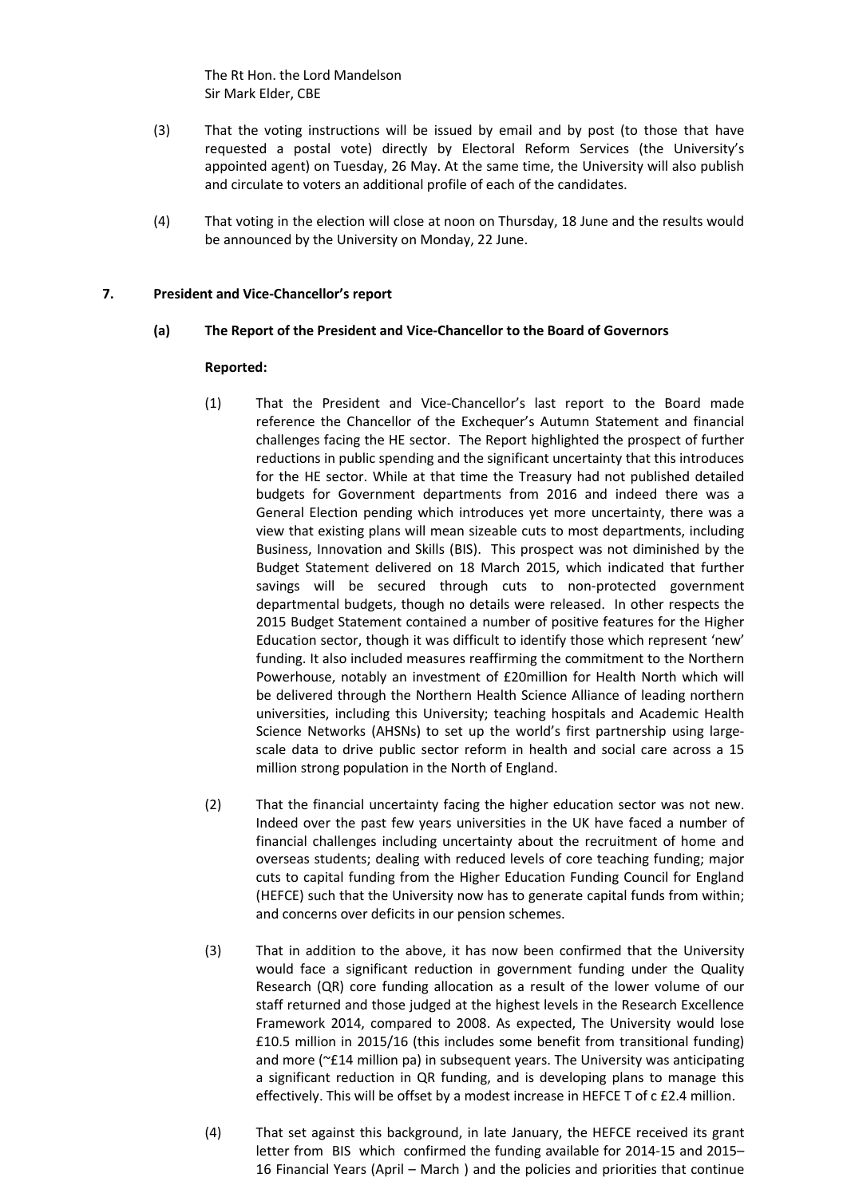The Rt Hon. the Lord Mandelson Sir Mark Elder, CBE

- (3) That the voting instructions will be issued by email and by post (to those that have requested a postal vote) directly by Electoral Reform Services (the University's appointed agent) on Tuesday, 26 May. At the same time, the University will also publish and circulate to voters an additional profile of each of the candidates.
- (4) That voting in the election will close at noon on Thursday, 18 June and the results would be announced by the University on Monday, 22 June.

### **7. President and Vice-Chancellor's report**

### **(a) The Report of the President and Vice-Chancellor to the Board of Governors**

- (1) That the President and Vice-Chancellor's last report to the Board made reference the Chancellor of the Exchequer's Autumn Statement and financial challenges facing the HE sector. The Report highlighted the prospect of further reductions in public spending and the significant uncertainty that this introduces for the HE sector. While at that time the Treasury had not published detailed budgets for Government departments from 2016 and indeed there was a General Election pending which introduces yet more uncertainty, there was a view that existing plans will mean sizeable cuts to most departments, including Business, Innovation and Skills (BIS). This prospect was not diminished by the Budget Statement delivered on 18 March 2015, which indicated that further savings will be secured through cuts to non-protected government departmental budgets, though no details were released. In other respects the 2015 Budget Statement contained a number of positive features for the Higher Education sector, though it was difficult to identify those which represent 'new' funding. It also included measures reaffirming the commitment to the Northern Powerhouse, notably an investment of £20million for Health North which will be delivered through the Northern Health Science Alliance of leading northern universities, including this University; teaching hospitals and Academic Health Science Networks (AHSNs) to set up the world's first partnership using largescale data to drive public sector reform in health and social care across a 15 million strong population in the North of England.
- (2) That the financial uncertainty facing the higher education sector was not new. Indeed over the past few years universities in the UK have faced a number of financial challenges including uncertainty about the recruitment of home and overseas students; dealing with reduced levels of core teaching funding; major cuts to capital funding from the Higher Education Funding Council for England (HEFCE) such that the University now has to generate capital funds from within; and concerns over deficits in our pension schemes.
- (3) That in addition to the above, it has now been confirmed that the University would face a significant reduction in government funding under the Quality Research (QR) core funding allocation as a result of the lower volume of our staff returned and those judged at the highest levels in the Research Excellence Framework 2014, compared to 2008. As expected, The University would lose £10.5 million in 2015/16 (this includes some benefit from transitional funding) and more (~£14 million pa) in subsequent years. The University was anticipating a significant reduction in QR funding, and is developing plans to manage this effectively. This will be offset by a modest increase in HEFCE T of c £2.4 million.
- (4) That set against this background, in late January, the HEFCE received its grant letter from BIS which confirmed the funding available for 2014-15 and 2015– 16 Financial Years (April – March ) and the policies and priorities that continue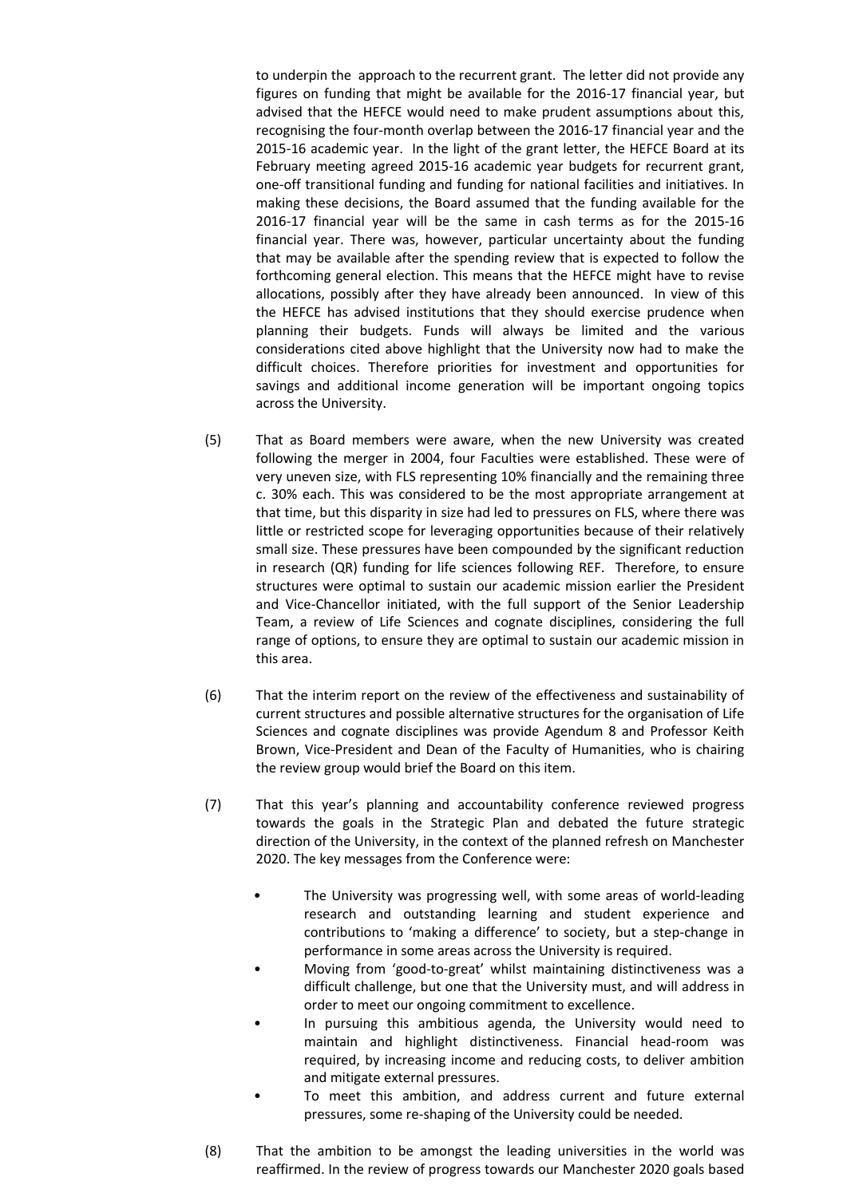to underpin the approach to the recurrent grant. The letter did not provide any figures on funding that might be available for the 2016-17 financial year, but advised that the HEFCE would need to make prudent assumptions about this, recognising the four-month overlap between the 2016-17 financial year and the 2015-16 academic year. In the light of the grant letter, the HEFCE Board at its February meeting agreed 2015-16 academic year budgets for recurrent grant, one-off transitional funding and funding for national facilities and initiatives. In making these decisions, the Board assumed that the funding available for the 2016-17 financial year will be the same in cash terms as for the 2015-16 financial year. There was, however, particular uncertainty about the funding that may be available after the spending review that is expected to follow the forthcoming general election. This means that the HEFCE might have to revise allocations, possibly after they have already been announced. In view of this the HEFCE has advised institutions that they should exercise prudence when planning their budgets. Funds will always be limited and the various considerations cited above highlight that the University now had to make the difficult choices. Therefore priorities for investment and opportunities for savings and additional income generation will be important ongoing topics across the University.

- (5) That as Board members were aware, when the new University was created following the merger in 2004, four Faculties were established. These were of very uneven size, with FLS representing 10% financially and the remaining three c. 30% each. This was considered to be the most appropriate arrangement at that time, but this disparity in size had led to pressures on FLS, where there was little or restricted scope for leveraging opportunities because of their relatively small size. These pressures have been compounded by the significant reduction in research (QR) funding for life sciences following REF. Therefore, to ensure structures were optimal to sustain our academic mission earlier the President and Vice-Chancellor initiated, with the full support of the Senior Leadership Team, a review of Life Sciences and cognate disciplines, considering the full range of options, to ensure they are optimal to sustain our academic mission in this area.
- (6) That the interim report on the review of the effectiveness and sustainability of current structures and possible alternative structures for the organisation of Life Sciences and cognate disciplines was provide Agendum 8 and Professor Keith Brown, Vice-President and Dean of the Faculty of Humanities, who is chairing the review group would brief the Board on this item.
- (7) That this year's planning and accountability conference reviewed progress towards the goals in the Strategic Plan and debated the future strategic direction of the University, in the context of the planned refresh on Manchester 2020. The key messages from the Conference were:
	- The University was progressing well, with some areas of world-leading research and outstanding learning and student experience and contributions to 'making a difference' to society, but a step-change in performance in some areas across the University is required.
	- Moving from 'good-to-great' whilst maintaining distinctiveness was a difficult challenge, but one that the University must, and will address in order to meet our ongoing commitment to excellence.
	- In pursuing this ambitious agenda, the University would need to maintain and highlight distinctiveness. Financial head-room was required, by increasing income and reducing costs, to deliver ambition and mitigate external pressures.
	- To meet this ambition, and address current and future external pressures, some re-shaping of the University could be needed.
- (8) That the ambition to be amongst the leading universities in the world was reaffirmed. In the review of progress towards our Manchester 2020 goals based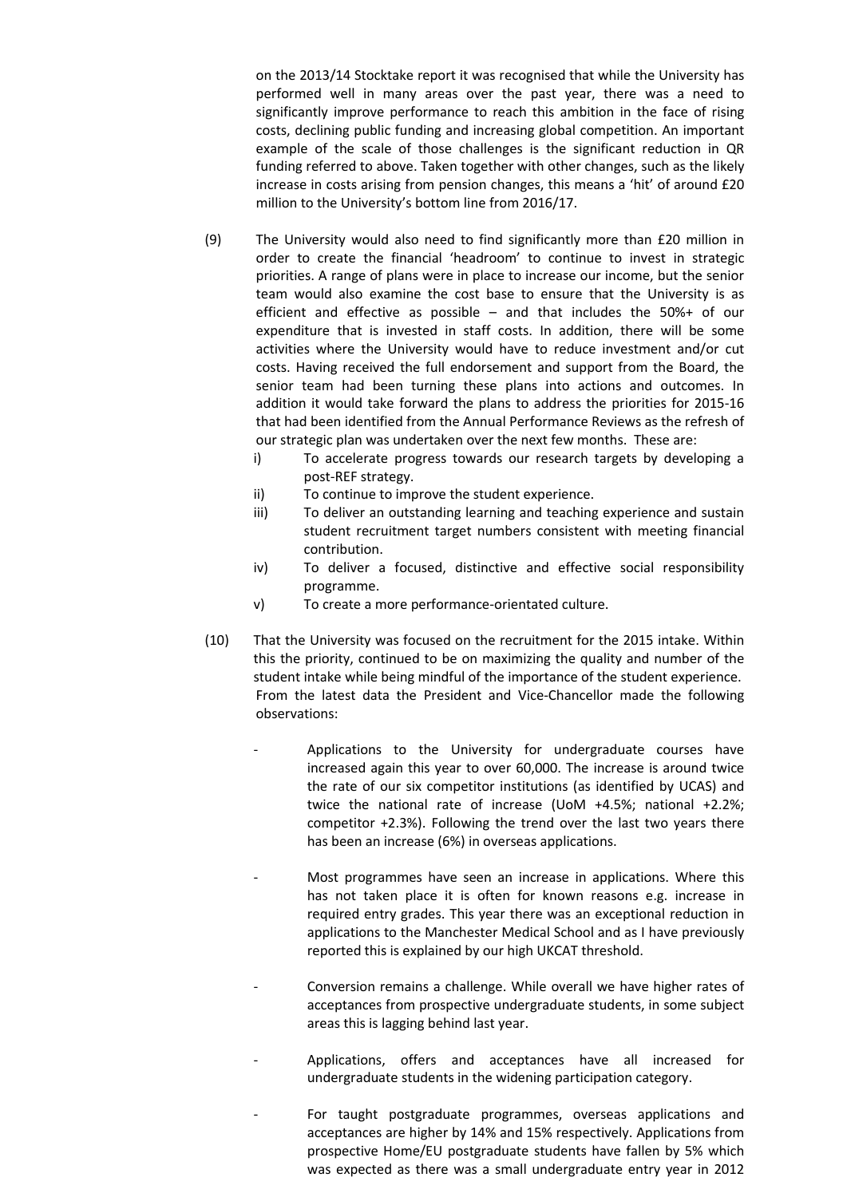on the 2013/14 Stocktake report it was recognised that while the University has performed well in many areas over the past year, there was a need to significantly improve performance to reach this ambition in the face of rising costs, declining public funding and increasing global competition. An important example of the scale of those challenges is the significant reduction in QR funding referred to above. Taken together with other changes, such as the likely increase in costs arising from pension changes, this means a 'hit' of around £20 million to the University's bottom line from 2016/17.

- (9) The University would also need to find significantly more than £20 million in order to create the financial 'headroom' to continue to invest in strategic priorities. A range of plans were in place to increase our income, but the senior team would also examine the cost base to ensure that the University is as efficient and effective as possible – and that includes the 50%+ of our expenditure that is invested in staff costs. In addition, there will be some activities where the University would have to reduce investment and/or cut costs. Having received the full endorsement and support from the Board, the senior team had been turning these plans into actions and outcomes. In addition it would take forward the plans to address the priorities for 2015-16 that had been identified from the Annual Performance Reviews as the refresh of our strategic plan was undertaken over the next few months. These are:
	- i) To accelerate progress towards our research targets by developing a post-REF strategy.
	- ii) To continue to improve the student experience.
	- iii) To deliver an outstanding learning and teaching experience and sustain student recruitment target numbers consistent with meeting financial contribution.
	- iv) To deliver a focused, distinctive and effective social responsibility programme.
	- v) To create a more performance-orientated culture.
- (10) That the University was focused on the recruitment for the 2015 intake. Within this the priority, continued to be on maximizing the quality and number of the student intake while being mindful of the importance of the student experience. From the latest data the President and Vice-Chancellor made the following observations:
	- Applications to the University for undergraduate courses have increased again this year to over 60,000. The increase is around twice the rate of our six competitor institutions (as identified by UCAS) and twice the national rate of increase (UoM +4.5%; national +2.2%; competitor +2.3%). Following the trend over the last two years there has been an increase (6%) in overseas applications.
	- Most programmes have seen an increase in applications. Where this has not taken place it is often for known reasons e.g. increase in required entry grades. This year there was an exceptional reduction in applications to the Manchester Medical School and as I have previously reported this is explained by our high UKCAT threshold.
	- Conversion remains a challenge. While overall we have higher rates of acceptances from prospective undergraduate students, in some subject areas this is lagging behind last year.
	- Applications, offers and acceptances have all increased for undergraduate students in the widening participation category.
	- For taught postgraduate programmes, overseas applications and acceptances are higher by 14% and 15% respectively. Applications from prospective Home/EU postgraduate students have fallen by 5% which was expected as there was a small undergraduate entry year in 2012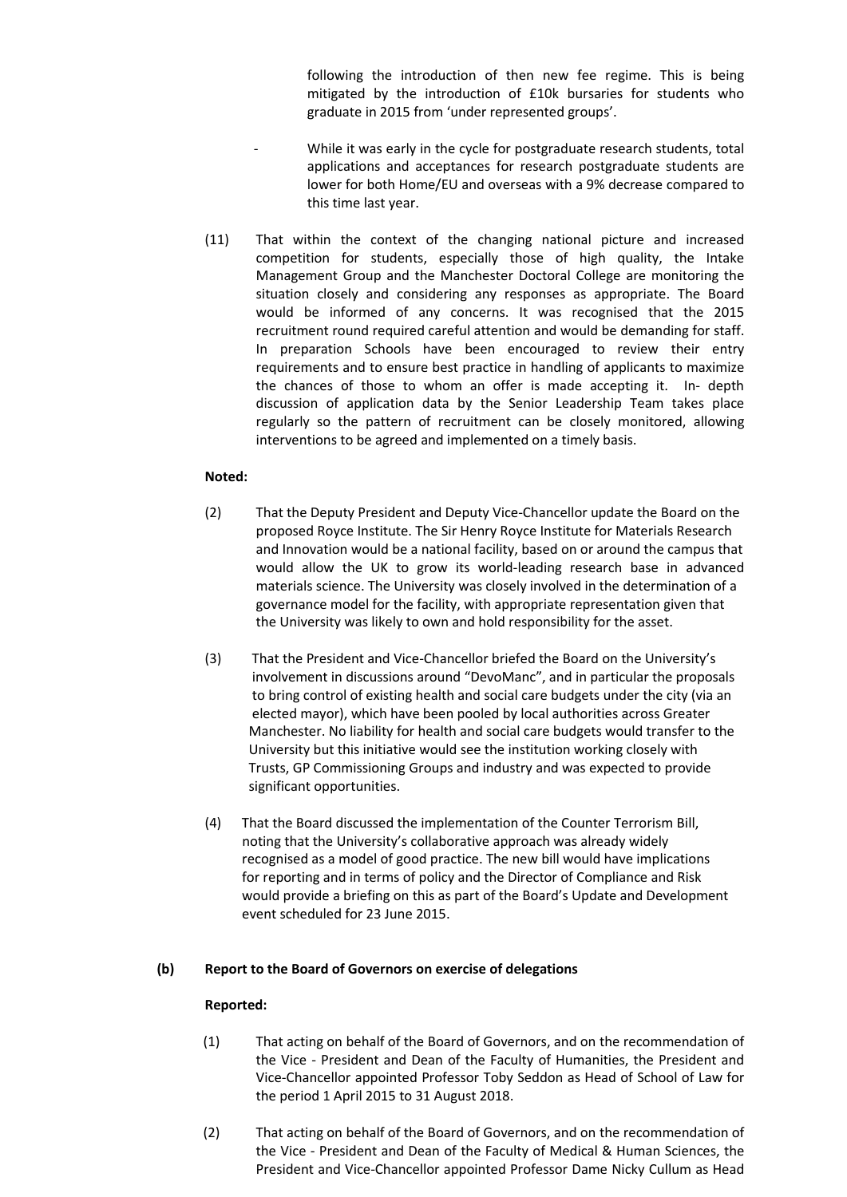following the introduction of then new fee regime. This is being mitigated by the introduction of £10k bursaries for students who graduate in 2015 from 'under represented groups'.

- While it was early in the cycle for postgraduate research students, total applications and acceptances for research postgraduate students are lower for both Home/EU and overseas with a 9% decrease compared to this time last year.
- (11) That within the context of the changing national picture and increased competition for students, especially those of high quality, the Intake Management Group and the Manchester Doctoral College are monitoring the situation closely and considering any responses as appropriate. The Board would be informed of any concerns. It was recognised that the 2015 recruitment round required careful attention and would be demanding for staff. In preparation Schools have been encouraged to review their entry requirements and to ensure best practice in handling of applicants to maximize the chances of those to whom an offer is made accepting it. In- depth discussion of application data by the Senior Leadership Team takes place regularly so the pattern of recruitment can be closely monitored, allowing interventions to be agreed and implemented on a timely basis.

## **Noted:**

- (2) That the Deputy President and Deputy Vice-Chancellor update the Board on the proposed Royce Institute. The Sir Henry Royce Institute for Materials Research and Innovation would be a national facility, based on or around the campus that would allow the UK to grow its world-leading research base in advanced materials science. The University was closely involved in the determination of a governance model for the facility, with appropriate representation given that the University was likely to own and hold responsibility for the asset.
- (3) That the President and Vice-Chancellor briefed the Board on the University's involvement in discussions around "DevoManc", and in particular the proposals to bring control of existing health and social care budgets under the city (via an elected mayor), which have been pooled by local authorities across Greater Manchester. No liability for health and social care budgets would transfer to the University but this initiative would see the institution working closely with Trusts, GP Commissioning Groups and industry and was expected to provide significant opportunities.
- (4) That the Board discussed the implementation of the Counter Terrorism Bill, noting that the University's collaborative approach was already widely recognised as a model of good practice. The new bill would have implications for reporting and in terms of policy and the Director of Compliance and Risk would provide a briefing on this as part of the Board's Update and Development event scheduled for 23 June 2015.

## **(b) Report to the Board of Governors on exercise of delegations**

- (1) That acting on behalf of the Board of Governors, and on the recommendation of the Vice - President and Dean of the Faculty of Humanities, the President and Vice-Chancellor appointed Professor Toby Seddon as Head of School of Law for the period 1 April 2015 to 31 August 2018.
- (2) That acting on behalf of the Board of Governors, and on the recommendation of the Vice - President and Dean of the Faculty of Medical & Human Sciences, the President and Vice-Chancellor appointed Professor Dame Nicky Cullum as Head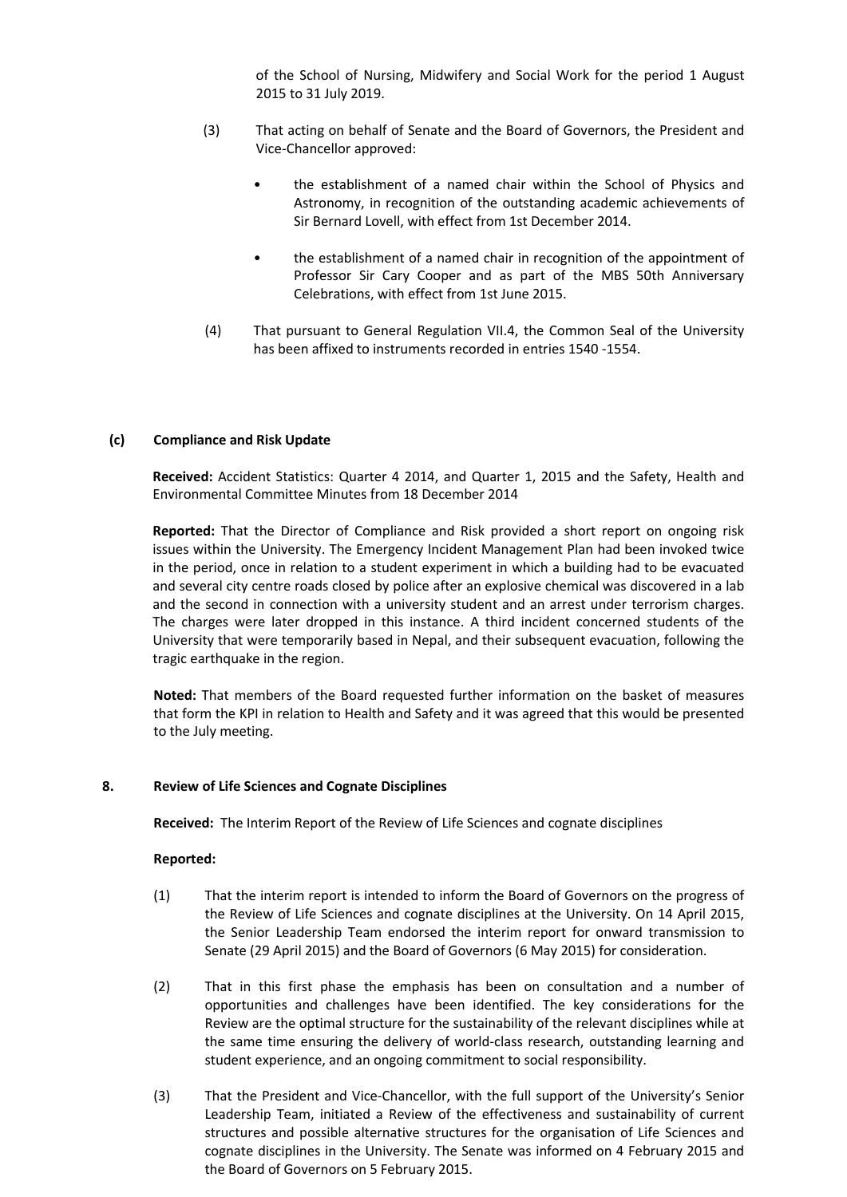of the School of Nursing, Midwifery and Social Work for the period 1 August 2015 to 31 July 2019.

- (3) That acting on behalf of Senate and the Board of Governors, the President and Vice-Chancellor approved:
	- the establishment of a named chair within the School of Physics and Astronomy, in recognition of the outstanding academic achievements of Sir Bernard Lovell, with effect from 1st December 2014.
	- the establishment of a named chair in recognition of the appointment of Professor Sir Cary Cooper and as part of the MBS 50th Anniversary Celebrations, with effect from 1st June 2015.
- (4) That pursuant to General Regulation VII.4, the Common Seal of the University has been affixed to instruments recorded in entries 1540 -1554.

#### **(c) Compliance and Risk Update**

**Received:** Accident Statistics: Quarter 4 2014, and Quarter 1, 2015 and the Safety, Health and Environmental Committee Minutes from 18 December 2014

**Reported:** That the Director of Compliance and Risk provided a short report on ongoing risk issues within the University. The Emergency Incident Management Plan had been invoked twice in the period, once in relation to a student experiment in which a building had to be evacuated and several city centre roads closed by police after an explosive chemical was discovered in a lab and the second in connection with a university student and an arrest under terrorism charges. The charges were later dropped in this instance. A third incident concerned students of the University that were temporarily based in Nepal, and their subsequent evacuation, following the tragic earthquake in the region.

**Noted:** That members of the Board requested further information on the basket of measures that form the KPI in relation to Health and Safety and it was agreed that this would be presented to the July meeting.

#### **8. Review of Life Sciences and Cognate Disciplines**

**Received:** The Interim Report of the Review of Life Sciences and cognate disciplines

- (1) That the interim report is intended to inform the Board of Governors on the progress of the Review of Life Sciences and cognate disciplines at the University. On 14 April 2015, the Senior Leadership Team endorsed the interim report for onward transmission to Senate (29 April 2015) and the Board of Governors (6 May 2015) for consideration.
- (2) That in this first phase the emphasis has been on consultation and a number of opportunities and challenges have been identified. The key considerations for the Review are the optimal structure for the sustainability of the relevant disciplines while at the same time ensuring the delivery of world-class research, outstanding learning and student experience, and an ongoing commitment to social responsibility.
- (3) That the President and Vice-Chancellor, with the full support of the University's Senior Leadership Team, initiated a Review of the effectiveness and sustainability of current structures and possible alternative structures for the organisation of Life Sciences and cognate disciplines in the University. The Senate was informed on 4 February 2015 and the Board of Governors on 5 February 2015.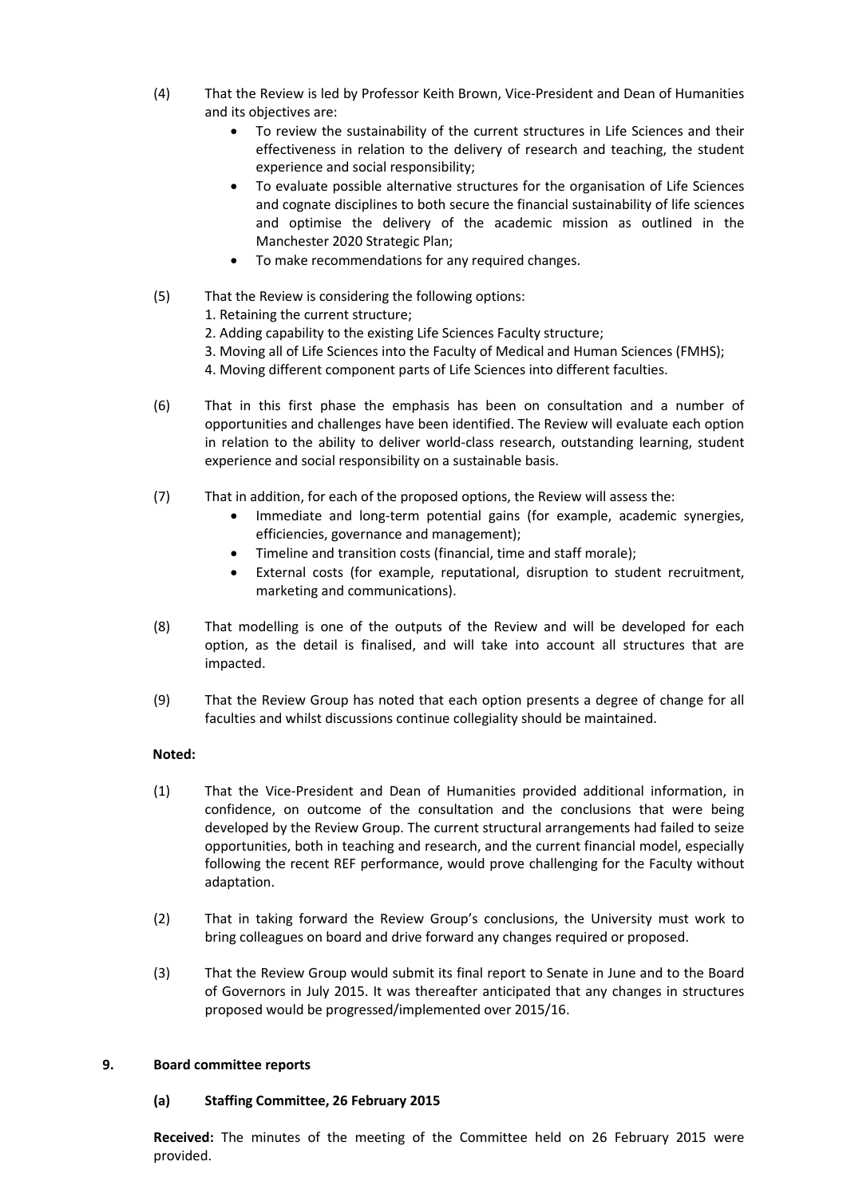- (4) That the Review is led by Professor Keith Brown, Vice-President and Dean of Humanities and its objectives are:
	- To review the sustainability of the current structures in Life Sciences and their effectiveness in relation to the delivery of research and teaching, the student experience and social responsibility;
	- To evaluate possible alternative structures for the organisation of Life Sciences and cognate disciplines to both secure the financial sustainability of life sciences and optimise the delivery of the academic mission as outlined in the Manchester 2020 Strategic Plan;
	- To make recommendations for any required changes.
- (5) That the Review is considering the following options:
	- 1. Retaining the current structure;
	- 2. Adding capability to the existing Life Sciences Faculty structure;
	- 3. Moving all of Life Sciences into the Faculty of Medical and Human Sciences (FMHS);
	- 4. Moving different component parts of Life Sciences into different faculties.
- (6) That in this first phase the emphasis has been on consultation and a number of opportunities and challenges have been identified. The Review will evaluate each option in relation to the ability to deliver world-class research, outstanding learning, student experience and social responsibility on a sustainable basis.
- (7) That in addition, for each of the proposed options, the Review will assess the:
	- Immediate and long-term potential gains (for example, academic synergies, efficiencies, governance and management);
	- Timeline and transition costs (financial, time and staff morale);
	- External costs (for example, reputational, disruption to student recruitment, marketing and communications).
- (8) That modelling is one of the outputs of the Review and will be developed for each option, as the detail is finalised, and will take into account all structures that are impacted.
- (9) That the Review Group has noted that each option presents a degree of change for all faculties and whilst discussions continue collegiality should be maintained.

## **Noted:**

- (1) That the Vice-President and Dean of Humanities provided additional information, in confidence, on outcome of the consultation and the conclusions that were being developed by the Review Group. The current structural arrangements had failed to seize opportunities, both in teaching and research, and the current financial model, especially following the recent REF performance, would prove challenging for the Faculty without adaptation.
- (2) That in taking forward the Review Group's conclusions, the University must work to bring colleagues on board and drive forward any changes required or proposed.
- (3) That the Review Group would submit its final report to Senate in June and to the Board of Governors in July 2015. It was thereafter anticipated that any changes in structures proposed would be progressed/implemented over 2015/16.

## **9. Board committee reports**

## **(a) Staffing Committee, 26 February 2015**

**Received:** The minutes of the meeting of the Committee held on 26 February 2015 were provided.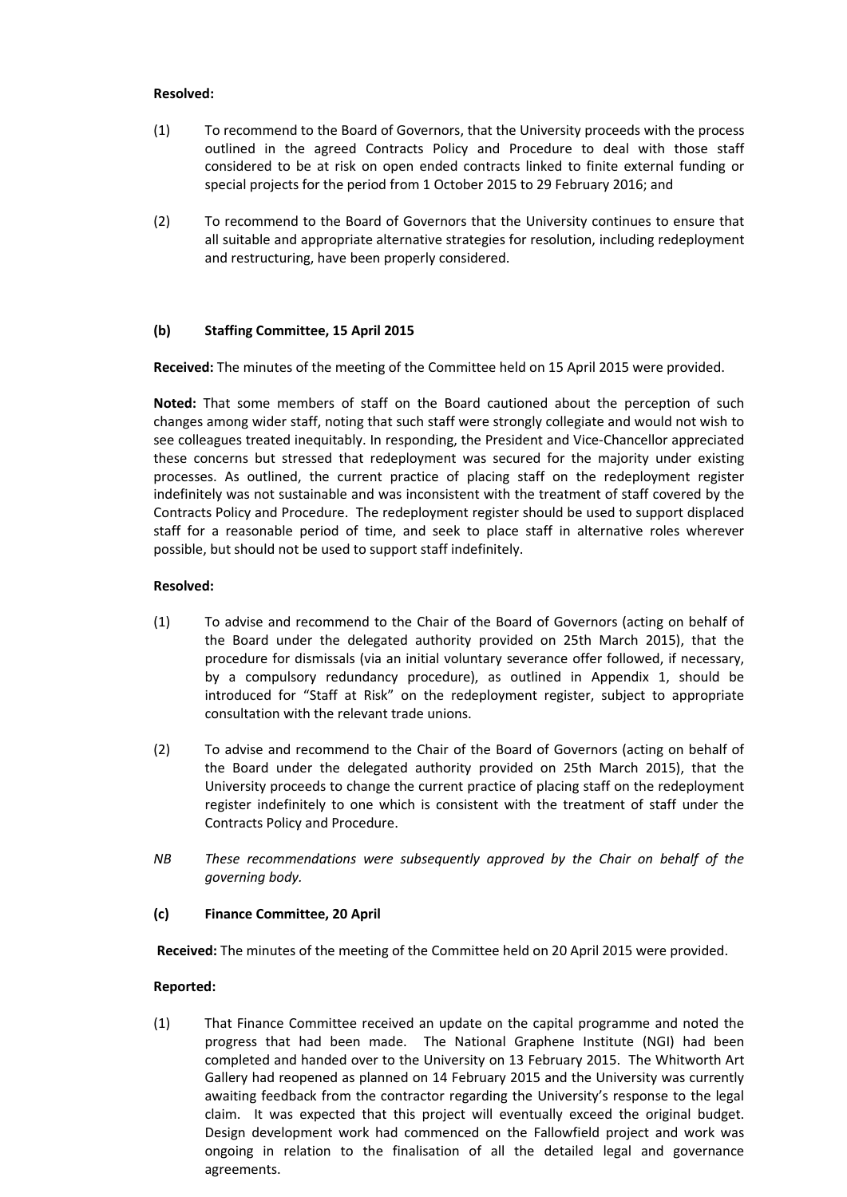### **Resolved:**

- (1) To recommend to the Board of Governors, that the University proceeds with the process outlined in the agreed Contracts Policy and Procedure to deal with those staff considered to be at risk on open ended contracts linked to finite external funding or special projects for the period from 1 October 2015 to 29 February 2016; and
- (2) To recommend to the Board of Governors that the University continues to ensure that all suitable and appropriate alternative strategies for resolution, including redeployment and restructuring, have been properly considered.

## **(b) Staffing Committee, 15 April 2015**

**Received:** The minutes of the meeting of the Committee held on 15 April 2015 were provided.

**Noted:** That some members of staff on the Board cautioned about the perception of such changes among wider staff, noting that such staff were strongly collegiate and would not wish to see colleagues treated inequitably. In responding, the President and Vice-Chancellor appreciated these concerns but stressed that redeployment was secured for the majority under existing processes. As outlined, the current practice of placing staff on the redeployment register indefinitely was not sustainable and was inconsistent with the treatment of staff covered by the Contracts Policy and Procedure. The redeployment register should be used to support displaced staff for a reasonable period of time, and seek to place staff in alternative roles wherever possible, but should not be used to support staff indefinitely.

### **Resolved:**

- (1) To advise and recommend to the Chair of the Board of Governors (acting on behalf of the Board under the delegated authority provided on 25th March 2015), that the procedure for dismissals (via an initial voluntary severance offer followed, if necessary, by a compulsory redundancy procedure), as outlined in Appendix 1, should be introduced for "Staff at Risk" on the redeployment register, subject to appropriate consultation with the relevant trade unions.
- (2) To advise and recommend to the Chair of the Board of Governors (acting on behalf of the Board under the delegated authority provided on 25th March 2015), that the University proceeds to change the current practice of placing staff on the redeployment register indefinitely to one which is consistent with the treatment of staff under the Contracts Policy and Procedure.
- *NB These recommendations were subsequently approved by the Chair on behalf of the governing body.*

#### **(c) Finance Committee, 20 April**

**Received:** The minutes of the meeting of the Committee held on 20 April 2015 were provided.

#### **Reported:**

(1) That Finance Committee received an update on the capital programme and noted the progress that had been made. The National Graphene Institute (NGI) had been completed and handed over to the University on 13 February 2015. The Whitworth Art Gallery had reopened as planned on 14 February 2015 and the University was currently awaiting feedback from the contractor regarding the University's response to the legal claim. It was expected that this project will eventually exceed the original budget. Design development work had commenced on the Fallowfield project and work was ongoing in relation to the finalisation of all the detailed legal and governance agreements.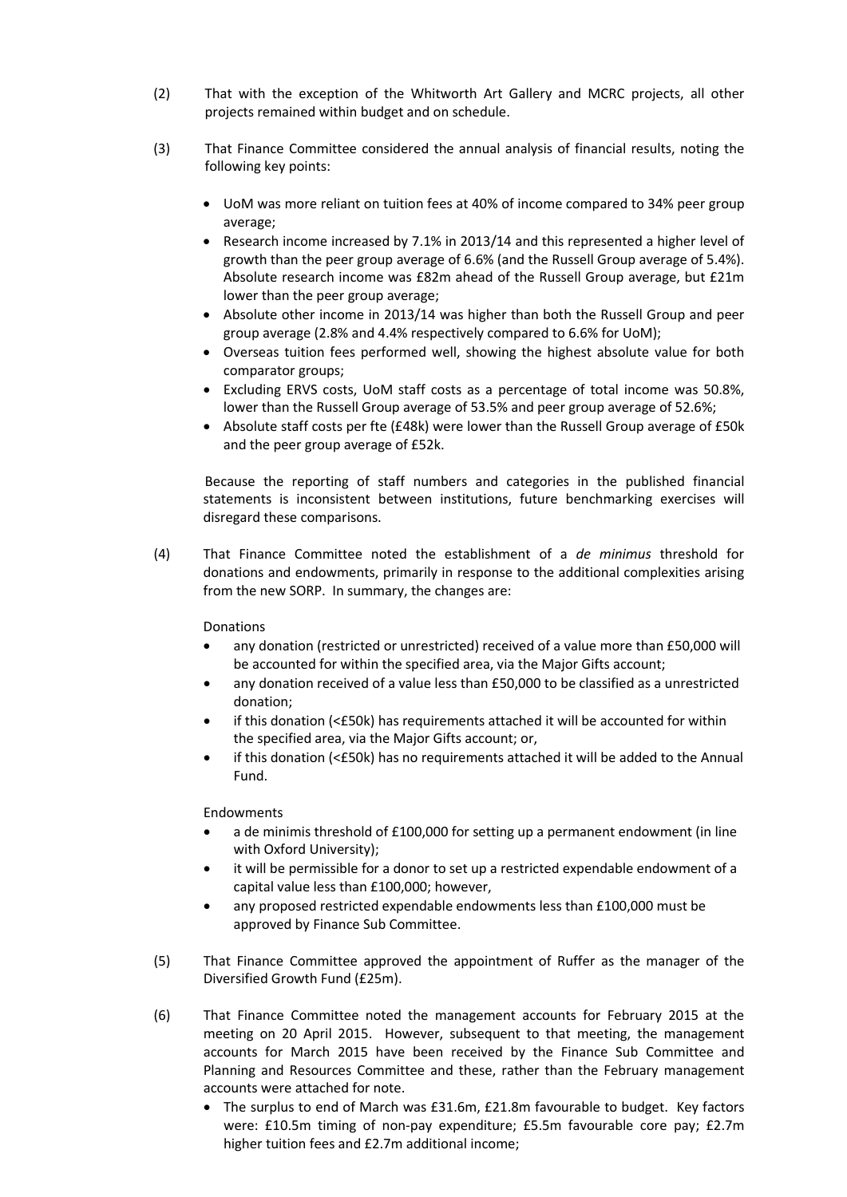- (2) That with the exception of the Whitworth Art Gallery and MCRC projects, all other projects remained within budget and on schedule.
- (3) That Finance Committee considered the annual analysis of financial results, noting the following key points:
	- UoM was more reliant on tuition fees at 40% of income compared to 34% peer group average;
	- Research income increased by 7.1% in 2013/14 and this represented a higher level of growth than the peer group average of 6.6% (and the Russell Group average of 5.4%). Absolute research income was £82m ahead of the Russell Group average, but £21m lower than the peer group average;
	- Absolute other income in 2013/14 was higher than both the Russell Group and peer group average (2.8% and 4.4% respectively compared to 6.6% for UoM);
	- Overseas tuition fees performed well, showing the highest absolute value for both comparator groups;
	- Excluding ERVS costs, UoM staff costs as a percentage of total income was 50.8%, lower than the Russell Group average of 53.5% and peer group average of 52.6%;
	- Absolute staff costs per fte (£48k) were lower than the Russell Group average of £50k and the peer group average of £52k.

Because the reporting of staff numbers and categories in the published financial statements is inconsistent between institutions, future benchmarking exercises will disregard these comparisons.

(4) That Finance Committee noted the establishment of a *de minimus* threshold for donations and endowments, primarily in response to the additional complexities arising from the new SORP. In summary, the changes are:

Donations

- any donation (restricted or unrestricted) received of a value more than £50,000 will be accounted for within the specified area, via the Major Gifts account;
- any donation received of a value less than £50,000 to be classified as a unrestricted donation;
- if this donation (<£50k) has requirements attached it will be accounted for within the specified area, via the Major Gifts account; or,
- if this donation (<£50k) has no requirements attached it will be added to the Annual Fund.

Endowments

- a de minimis threshold of £100,000 for setting up a permanent endowment (in line with Oxford University);
- it will be permissible for a donor to set up a restricted expendable endowment of a capital value less than £100,000; however,
- any proposed restricted expendable endowments less than £100,000 must be approved by Finance Sub Committee.
- (5) That Finance Committee approved the appointment of Ruffer as the manager of the Diversified Growth Fund (£25m).
- (6) That Finance Committee noted the management accounts for February 2015 at the meeting on 20 April 2015. However, subsequent to that meeting, the management accounts for March 2015 have been received by the Finance Sub Committee and Planning and Resources Committee and these, rather than the February management accounts were attached for note.
	- The surplus to end of March was £31.6m, £21.8m favourable to budget. Key factors were: £10.5m timing of non-pay expenditure; £5.5m favourable core pay; £2.7m higher tuition fees and £2.7m additional income;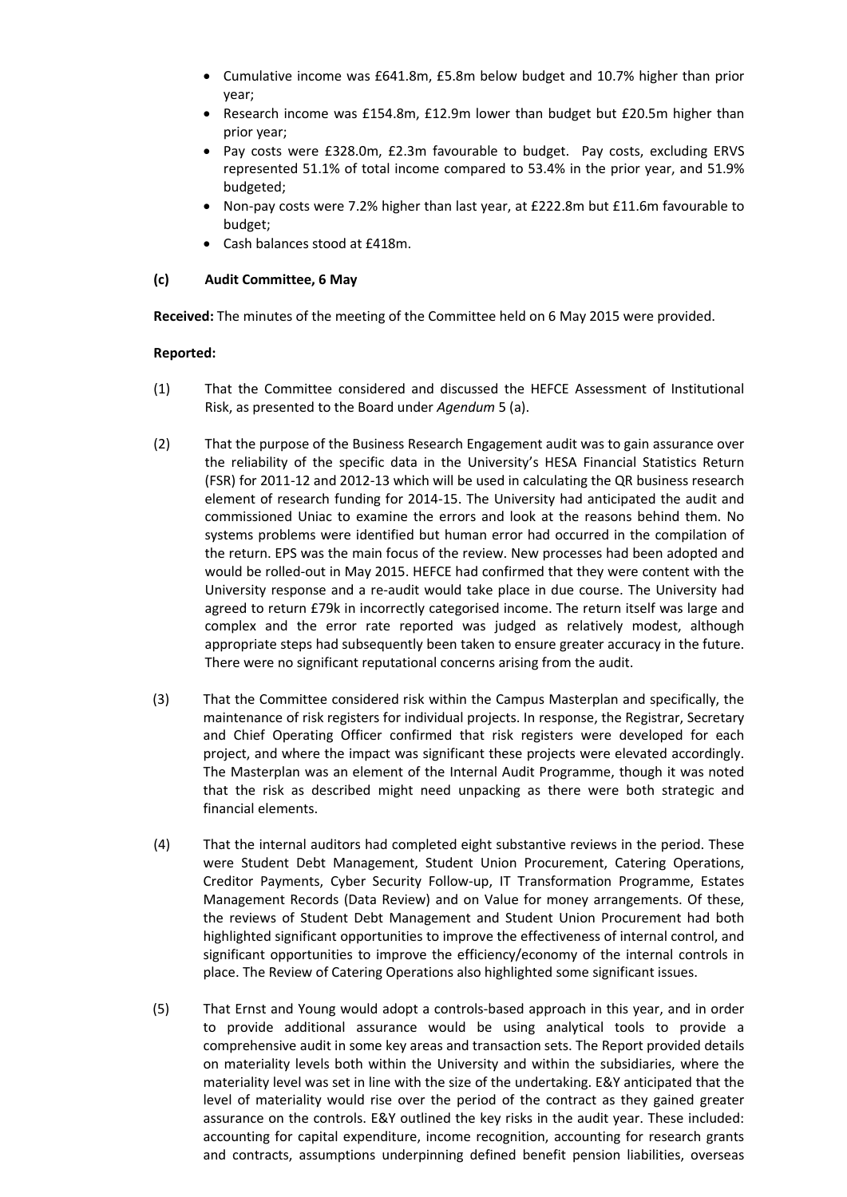- Cumulative income was £641.8m, £5.8m below budget and 10.7% higher than prior year;
- Research income was £154.8m, £12.9m lower than budget but £20.5m higher than prior year;
- Pay costs were £328.0m, £2.3m favourable to budget. Pay costs, excluding ERVS represented 51.1% of total income compared to 53.4% in the prior year, and 51.9% budgeted;
- Non-pay costs were 7.2% higher than last year, at £222.8m but £11.6m favourable to budget;
- Cash balances stood at £418m.

## **(c) Audit Committee, 6 May**

**Received:** The minutes of the meeting of the Committee held on 6 May 2015 were provided.

- (1) That the Committee considered and discussed the HEFCE Assessment of Institutional Risk, as presented to the Board under *Agendum* 5 (a).
- (2) That the purpose of the Business Research Engagement audit was to gain assurance over the reliability of the specific data in the University's HESA Financial Statistics Return (FSR) for 2011-12 and 2012-13 which will be used in calculating the QR business research element of research funding for 2014-15. The University had anticipated the audit and commissioned Uniac to examine the errors and look at the reasons behind them. No systems problems were identified but human error had occurred in the compilation of the return. EPS was the main focus of the review. New processes had been adopted and would be rolled-out in May 2015. HEFCE had confirmed that they were content with the University response and a re-audit would take place in due course. The University had agreed to return £79k in incorrectly categorised income. The return itself was large and complex and the error rate reported was judged as relatively modest, although appropriate steps had subsequently been taken to ensure greater accuracy in the future. There were no significant reputational concerns arising from the audit.
- (3) That the Committee considered risk within the Campus Masterplan and specifically, the maintenance of risk registers for individual projects. In response, the Registrar, Secretary and Chief Operating Officer confirmed that risk registers were developed for each project, and where the impact was significant these projects were elevated accordingly. The Masterplan was an element of the Internal Audit Programme, though it was noted that the risk as described might need unpacking as there were both strategic and financial elements.
- (4) That the internal auditors had completed eight substantive reviews in the period. These were Student Debt Management, Student Union Procurement, Catering Operations, Creditor Payments, Cyber Security Follow-up, IT Transformation Programme, Estates Management Records (Data Review) and on Value for money arrangements. Of these, the reviews of Student Debt Management and Student Union Procurement had both highlighted significant opportunities to improve the effectiveness of internal control, and significant opportunities to improve the efficiency/economy of the internal controls in place. The Review of Catering Operations also highlighted some significant issues.
- (5) That Ernst and Young would adopt a controls-based approach in this year, and in order to provide additional assurance would be using analytical tools to provide a comprehensive audit in some key areas and transaction sets. The Report provided details on materiality levels both within the University and within the subsidiaries, where the materiality level was set in line with the size of the undertaking. E&Y anticipated that the level of materiality would rise over the period of the contract as they gained greater assurance on the controls. E&Y outlined the key risks in the audit year. These included: accounting for capital expenditure, income recognition, accounting for research grants and contracts, assumptions underpinning defined benefit pension liabilities, overseas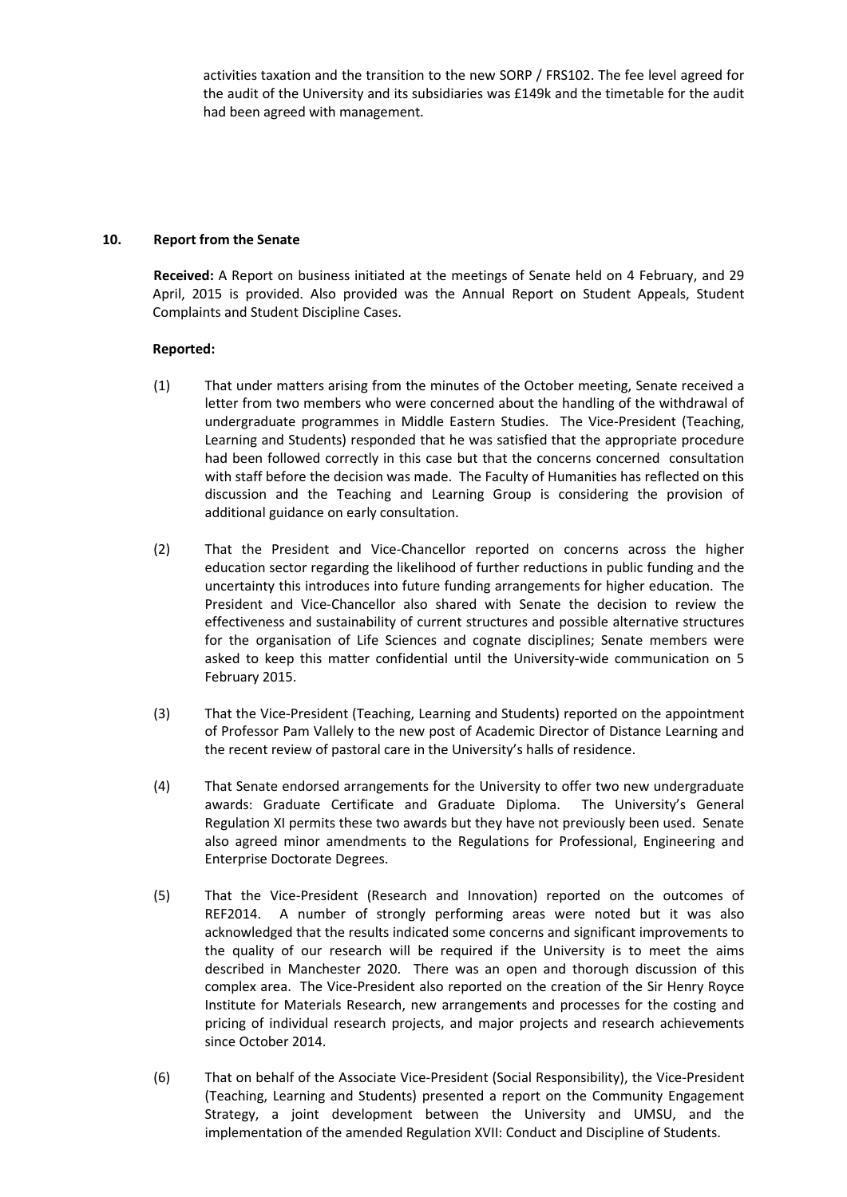activities taxation and the transition to the new SORP / FRS102. The fee level agreed for the audit of the University and its subsidiaries was £149k and the timetable for the audit had been agreed with management.

### **10. Report from the Senate**

**Received:** A Report on business initiated at the meetings of Senate held on 4 February, and 29 April, 2015 is provided. Also provided was the Annual Report on Student Appeals, Student Complaints and Student Discipline Cases.

- (1) That under matters arising from the minutes of the October meeting, Senate received a letter from two members who were concerned about the handling of the withdrawal of undergraduate programmes in Middle Eastern Studies. The Vice-President (Teaching, Learning and Students) responded that he was satisfied that the appropriate procedure had been followed correctly in this case but that the concerns concerned consultation with staff before the decision was made. The Faculty of Humanities has reflected on this discussion and the Teaching and Learning Group is considering the provision of additional guidance on early consultation.
- (2) That the President and Vice-Chancellor reported on concerns across the higher education sector regarding the likelihood of further reductions in public funding and the uncertainty this introduces into future funding arrangements for higher education. The President and Vice-Chancellor also shared with Senate the decision to review the effectiveness and sustainability of current structures and possible alternative structures for the organisation of Life Sciences and cognate disciplines; Senate members were asked to keep this matter confidential until the University-wide communication on 5 February 2015.
- (3) That the Vice-President (Teaching, Learning and Students) reported on the appointment of Professor Pam Vallely to the new post of Academic Director of Distance Learning and the recent review of pastoral care in the University's halls of residence.
- (4) That Senate endorsed arrangements for the University to offer two new undergraduate awards: Graduate Certificate and Graduate Diploma. The University's General Regulation XI permits these two awards but they have not previously been used. Senate also agreed minor amendments to the Regulations for Professional, Engineering and Enterprise Doctorate Degrees.
- (5) That the Vice-President (Research and Innovation) reported on the outcomes of REF2014. A number of strongly performing areas were noted but it was also acknowledged that the results indicated some concerns and significant improvements to the quality of our research will be required if the University is to meet the aims described in Manchester 2020. There was an open and thorough discussion of this complex area. The Vice-President also reported on the creation of the Sir Henry Royce Institute for Materials Research, new arrangements and processes for the costing and pricing of individual research projects, and major projects and research achievements since October 2014.
- (6) That on behalf of the Associate Vice-President (Social Responsibility), the Vice-President (Teaching, Learning and Students) presented a report on the Community Engagement Strategy, a joint development between the University and UMSU, and the implementation of the amended Regulation XVII: Conduct and Discipline of Students.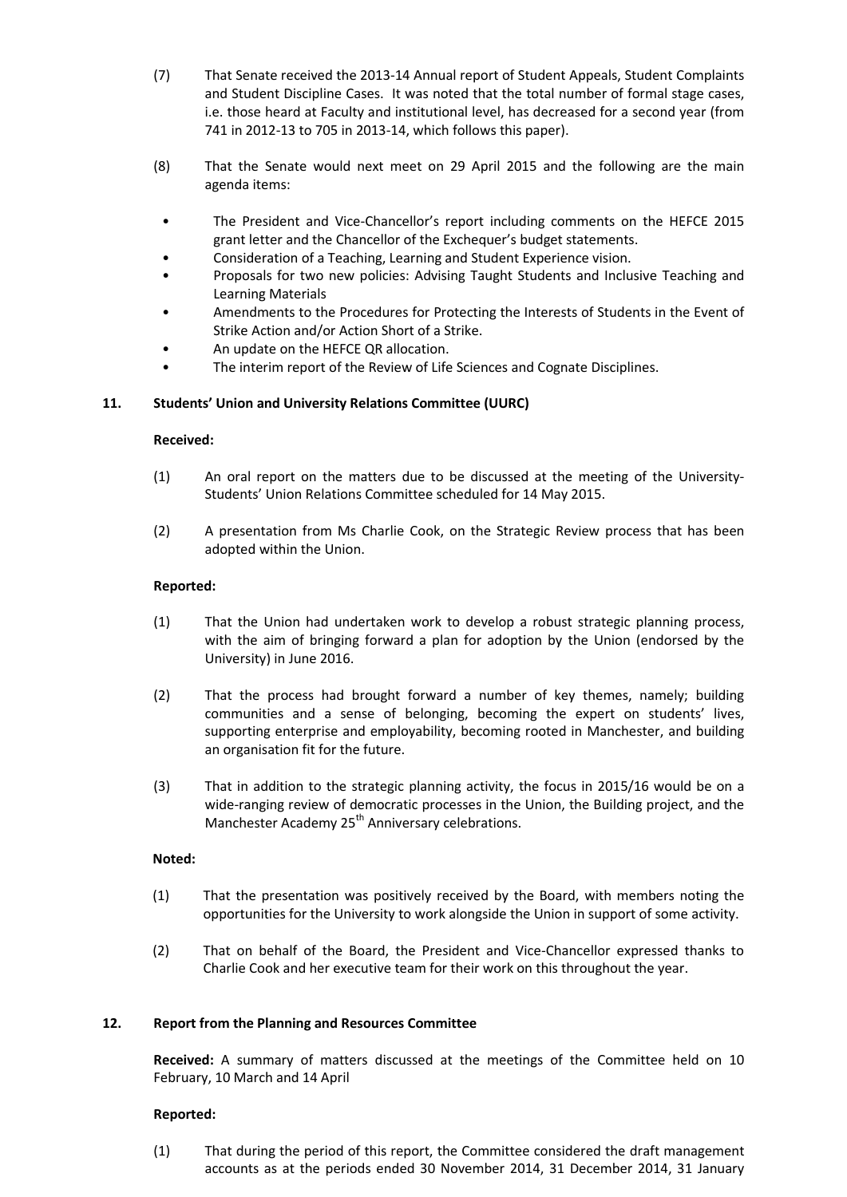- (7) That Senate received the 2013-14 Annual report of Student Appeals, Student Complaints and Student Discipline Cases. It was noted that the total number of formal stage cases, i.e. those heard at Faculty and institutional level, has decreased for a second year (from 741 in 2012-13 to 705 in 2013-14, which follows this paper).
- (8) That the Senate would next meet on 29 April 2015 and the following are the main agenda items:
	- The President and Vice-Chancellor's report including comments on the HEFCE 2015 grant letter and the Chancellor of the Exchequer's budget statements.
	- Consideration of a Teaching, Learning and Student Experience vision.
	- Proposals for two new policies: Advising Taught Students and Inclusive Teaching and Learning Materials
- Amendments to the Procedures for Protecting the Interests of Students in the Event of Strike Action and/or Action Short of a Strike.
- An update on the HEFCE QR allocation.
- The interim report of the Review of Life Sciences and Cognate Disciplines.

## **11. Students' Union and University Relations Committee (UURC)**

#### **Received:**

- (1) An oral report on the matters due to be discussed at the meeting of the University-Students' Union Relations Committee scheduled for 14 May 2015.
- (2) A presentation from Ms Charlie Cook, on the Strategic Review process that has been adopted within the Union.

#### **Reported:**

- (1) That the Union had undertaken work to develop a robust strategic planning process, with the aim of bringing forward a plan for adoption by the Union (endorsed by the University) in June 2016.
- (2) That the process had brought forward a number of key themes, namely; building communities and a sense of belonging, becoming the expert on students' lives, supporting enterprise and employability, becoming rooted in Manchester, and building an organisation fit for the future.
- (3) That in addition to the strategic planning activity, the focus in 2015/16 would be on a wide-ranging review of democratic processes in the Union, the Building project, and the Manchester Academy 25<sup>th</sup> Anniversary celebrations.

#### **Noted:**

- (1) That the presentation was positively received by the Board, with members noting the opportunities for the University to work alongside the Union in support of some activity.
- (2) That on behalf of the Board, the President and Vice-Chancellor expressed thanks to Charlie Cook and her executive team for their work on this throughout the year.

#### **12. Report from the Planning and Resources Committee**

**Received:** A summary of matters discussed at the meetings of the Committee held on 10 February, 10 March and 14 April

#### **Reported:**

(1) That during the period of this report, the Committee considered the draft management accounts as at the periods ended 30 November 2014, 31 December 2014, 31 January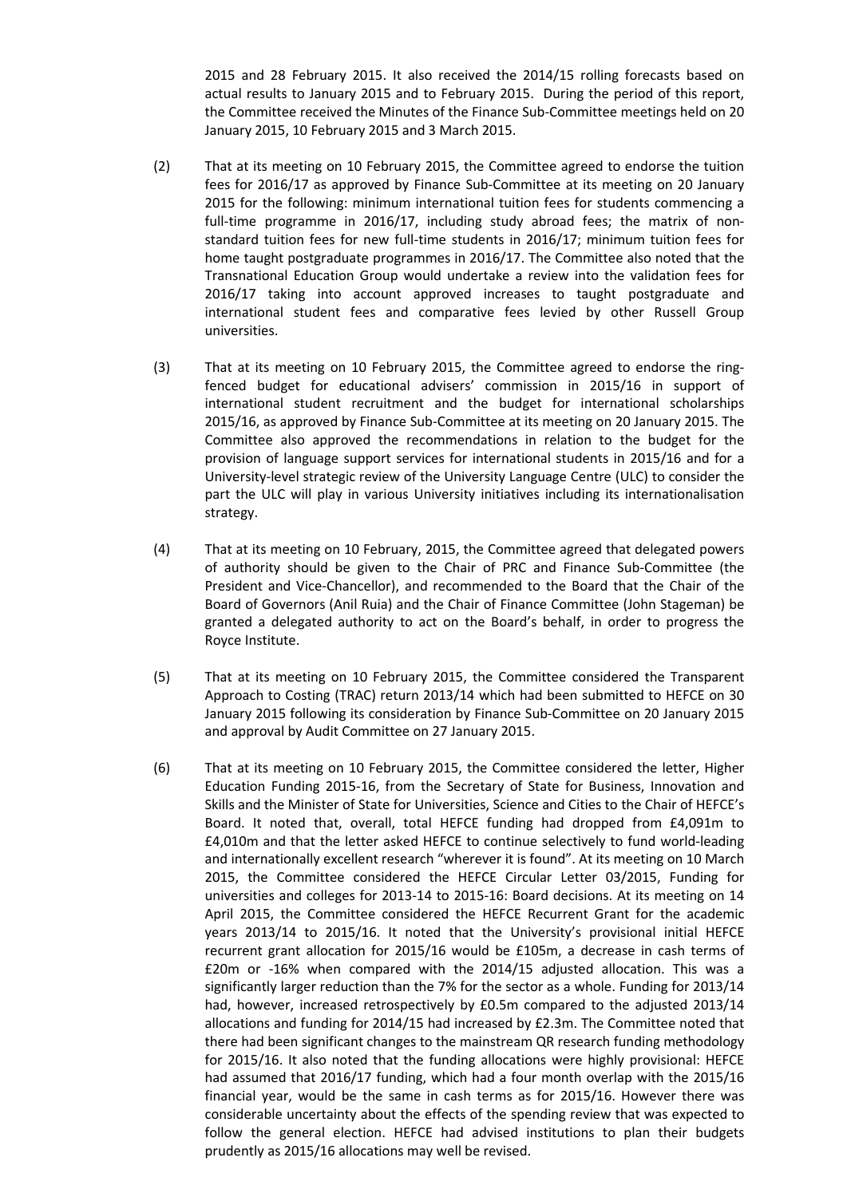2015 and 28 February 2015. It also received the 2014/15 rolling forecasts based on actual results to January 2015 and to February 2015. During the period of this report, the Committee received the Minutes of the Finance Sub-Committee meetings held on 20 January 2015, 10 February 2015 and 3 March 2015.

- (2) That at its meeting on 10 February 2015, the Committee agreed to endorse the tuition fees for 2016/17 as approved by Finance Sub-Committee at its meeting on 20 January 2015 for the following: minimum international tuition fees for students commencing a full-time programme in 2016/17, including study abroad fees; the matrix of nonstandard tuition fees for new full-time students in 2016/17; minimum tuition fees for home taught postgraduate programmes in 2016/17. The Committee also noted that the Transnational Education Group would undertake a review into the validation fees for 2016/17 taking into account approved increases to taught postgraduate and international student fees and comparative fees levied by other Russell Group universities.
- (3) That at its meeting on 10 February 2015, the Committee agreed to endorse the ringfenced budget for educational advisers' commission in 2015/16 in support of international student recruitment and the budget for international scholarships 2015/16, as approved by Finance Sub-Committee at its meeting on 20 January 2015. The Committee also approved the recommendations in relation to the budget for the provision of language support services for international students in 2015/16 and for a University-level strategic review of the University Language Centre (ULC) to consider the part the ULC will play in various University initiatives including its internationalisation strategy.
- (4) That at its meeting on 10 February, 2015, the Committee agreed that delegated powers of authority should be given to the Chair of PRC and Finance Sub-Committee (the President and Vice-Chancellor), and recommended to the Board that the Chair of the Board of Governors (Anil Ruia) and the Chair of Finance Committee (John Stageman) be granted a delegated authority to act on the Board's behalf, in order to progress the Royce Institute.
- (5) That at its meeting on 10 February 2015, the Committee considered the Transparent Approach to Costing (TRAC) return 2013/14 which had been submitted to HEFCE on 30 January 2015 following its consideration by Finance Sub-Committee on 20 January 2015 and approval by Audit Committee on 27 January 2015.
- (6) That at its meeting on 10 February 2015, the Committee considered the letter, Higher Education Funding 2015-16, from the Secretary of State for Business, Innovation and Skills and the Minister of State for Universities, Science and Cities to the Chair of HEFCE's Board. It noted that, overall, total HEFCE funding had dropped from £4,091m to £4,010m and that the letter asked HEFCE to continue selectively to fund world-leading and internationally excellent research "wherever it is found". At its meeting on 10 March 2015, the Committee considered the HEFCE Circular Letter 03/2015, Funding for universities and colleges for 2013-14 to 2015-16: Board decisions. At its meeting on 14 April 2015, the Committee considered the HEFCE Recurrent Grant for the academic years 2013/14 to 2015/16. It noted that the University's provisional initial HEFCE recurrent grant allocation for 2015/16 would be £105m, a decrease in cash terms of £20m or -16% when compared with the 2014/15 adjusted allocation. This was a significantly larger reduction than the 7% for the sector as a whole. Funding for 2013/14 had, however, increased retrospectively by £0.5m compared to the adjusted 2013/14 allocations and funding for 2014/15 had increased by £2.3m. The Committee noted that there had been significant changes to the mainstream QR research funding methodology for 2015/16. It also noted that the funding allocations were highly provisional: HEFCE had assumed that 2016/17 funding, which had a four month overlap with the 2015/16 financial year, would be the same in cash terms as for 2015/16. However there was considerable uncertainty about the effects of the spending review that was expected to follow the general election. HEFCE had advised institutions to plan their budgets prudently as 2015/16 allocations may well be revised.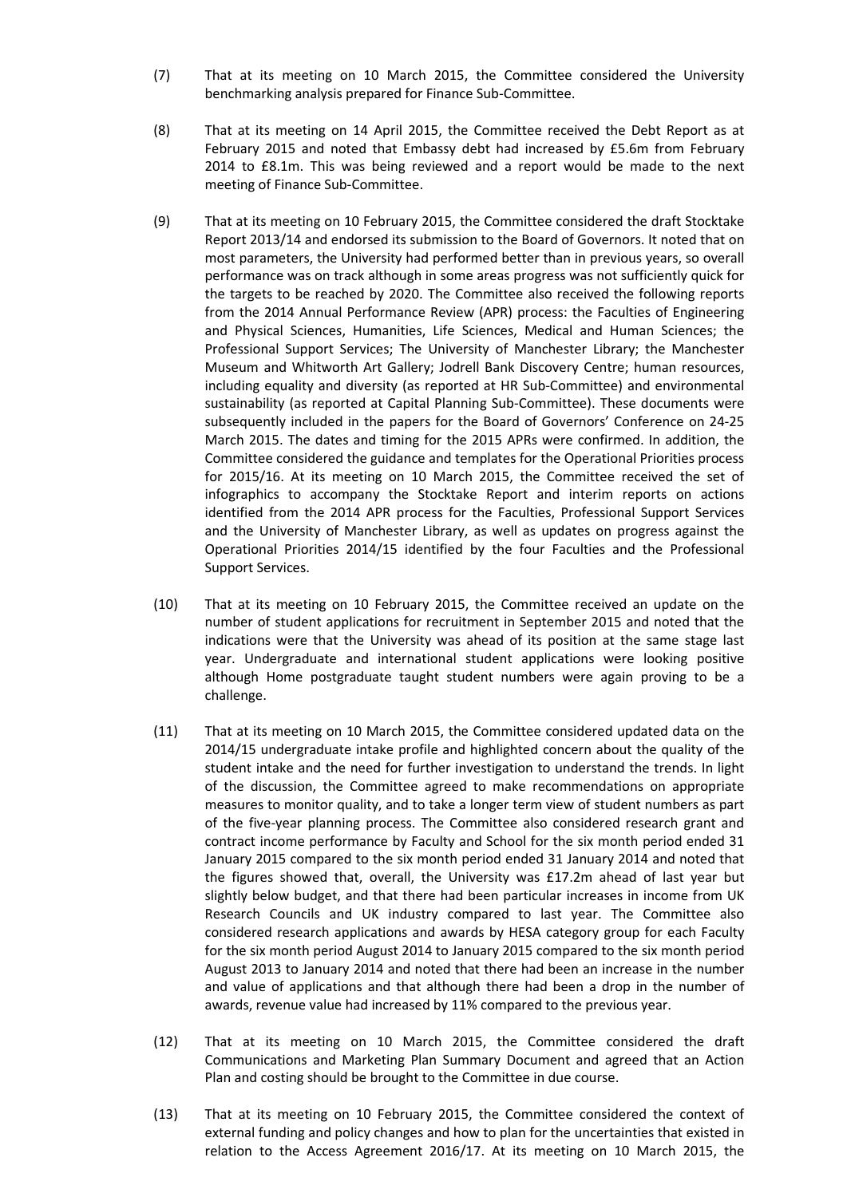- (7) That at its meeting on 10 March 2015, the Committee considered the University benchmarking analysis prepared for Finance Sub-Committee.
- (8) That at its meeting on 14 April 2015, the Committee received the Debt Report as at February 2015 and noted that Embassy debt had increased by £5.6m from February 2014 to £8.1m. This was being reviewed and a report would be made to the next meeting of Finance Sub-Committee.
- (9) That at its meeting on 10 February 2015, the Committee considered the draft Stocktake Report 2013/14 and endorsed its submission to the Board of Governors. It noted that on most parameters, the University had performed better than in previous years, so overall performance was on track although in some areas progress was not sufficiently quick for the targets to be reached by 2020. The Committee also received the following reports from the 2014 Annual Performance Review (APR) process: the Faculties of Engineering and Physical Sciences, Humanities, Life Sciences, Medical and Human Sciences; the Professional Support Services; The University of Manchester Library; the Manchester Museum and Whitworth Art Gallery; Jodrell Bank Discovery Centre; human resources, including equality and diversity (as reported at HR Sub-Committee) and environmental sustainability (as reported at Capital Planning Sub-Committee). These documents were subsequently included in the papers for the Board of Governors' Conference on 24-25 March 2015. The dates and timing for the 2015 APRs were confirmed. In addition, the Committee considered the guidance and templates for the Operational Priorities process for 2015/16. At its meeting on 10 March 2015, the Committee received the set of infographics to accompany the Stocktake Report and interim reports on actions identified from the 2014 APR process for the Faculties, Professional Support Services and the University of Manchester Library, as well as updates on progress against the Operational Priorities 2014/15 identified by the four Faculties and the Professional Support Services.
- (10) That at its meeting on 10 February 2015, the Committee received an update on the number of student applications for recruitment in September 2015 and noted that the indications were that the University was ahead of its position at the same stage last year. Undergraduate and international student applications were looking positive although Home postgraduate taught student numbers were again proving to be a challenge.
- (11) That at its meeting on 10 March 2015, the Committee considered updated data on the 2014/15 undergraduate intake profile and highlighted concern about the quality of the student intake and the need for further investigation to understand the trends. In light of the discussion, the Committee agreed to make recommendations on appropriate measures to monitor quality, and to take a longer term view of student numbers as part of the five-year planning process. The Committee also considered research grant and contract income performance by Faculty and School for the six month period ended 31 January 2015 compared to the six month period ended 31 January 2014 and noted that the figures showed that, overall, the University was £17.2m ahead of last year but slightly below budget, and that there had been particular increases in income from UK Research Councils and UK industry compared to last year. The Committee also considered research applications and awards by HESA category group for each Faculty for the six month period August 2014 to January 2015 compared to the six month period August 2013 to January 2014 and noted that there had been an increase in the number and value of applications and that although there had been a drop in the number of awards, revenue value had increased by 11% compared to the previous year.
- (12) That at its meeting on 10 March 2015, the Committee considered the draft Communications and Marketing Plan Summary Document and agreed that an Action Plan and costing should be brought to the Committee in due course.
- (13) That at its meeting on 10 February 2015, the Committee considered the context of external funding and policy changes and how to plan for the uncertainties that existed in relation to the Access Agreement 2016/17. At its meeting on 10 March 2015, the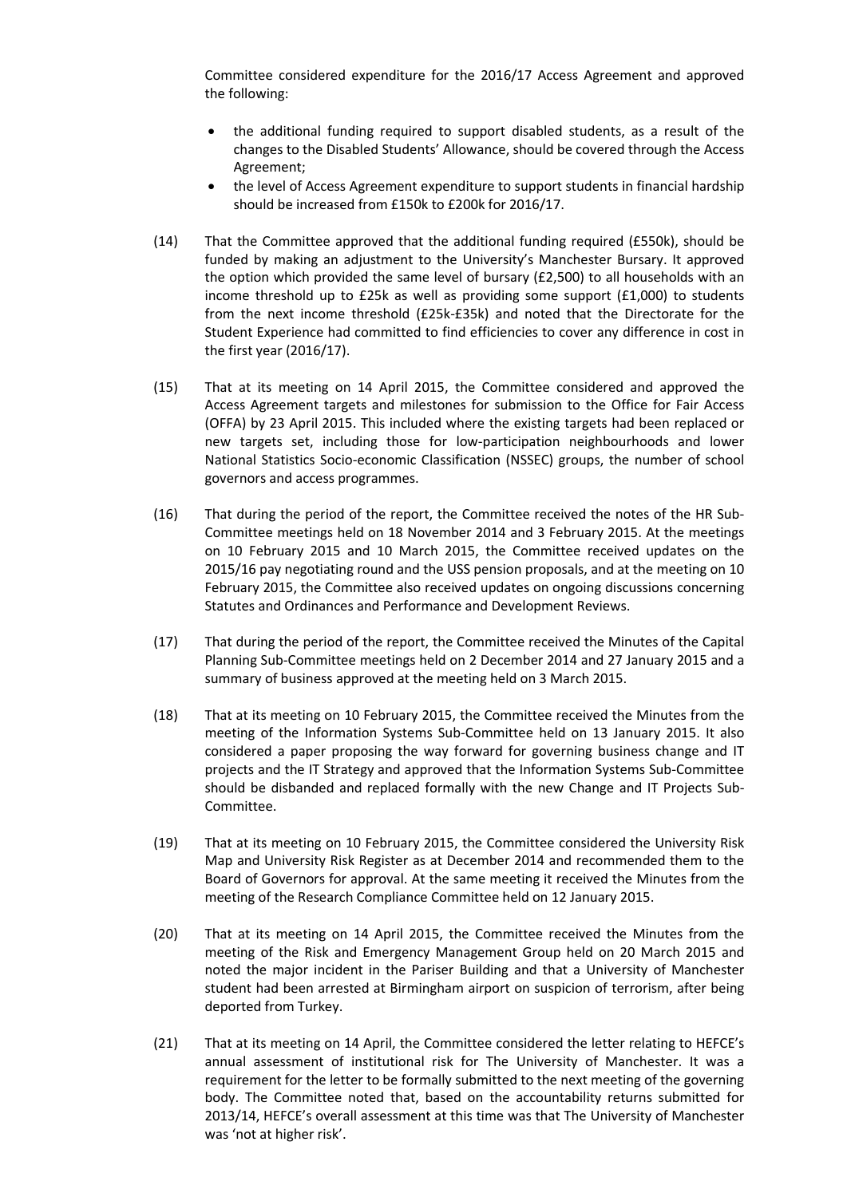Committee considered expenditure for the 2016/17 Access Agreement and approved the following:

- the additional funding required to support disabled students, as a result of the changes to the Disabled Students' Allowance, should be covered through the Access Agreement;
- the level of Access Agreement expenditure to support students in financial hardship should be increased from £150k to £200k for 2016/17.
- (14) That the Committee approved that the additional funding required (£550k), should be funded by making an adjustment to the University's Manchester Bursary. It approved the option which provided the same level of bursary (£2,500) to all households with an income threshold up to £25k as well as providing some support (£1,000) to students from the next income threshold (£25k-£35k) and noted that the Directorate for the Student Experience had committed to find efficiencies to cover any difference in cost in the first year (2016/17).
- (15) That at its meeting on 14 April 2015, the Committee considered and approved the Access Agreement targets and milestones for submission to the Office for Fair Access (OFFA) by 23 April 2015. This included where the existing targets had been replaced or new targets set, including those for low-participation neighbourhoods and lower National Statistics Socio-economic Classification (NSSEC) groups, the number of school governors and access programmes.
- (16) That during the period of the report, the Committee received the notes of the HR Sub-Committee meetings held on 18 November 2014 and 3 February 2015. At the meetings on 10 February 2015 and 10 March 2015, the Committee received updates on the 2015/16 pay negotiating round and the USS pension proposals, and at the meeting on 10 February 2015, the Committee also received updates on ongoing discussions concerning Statutes and Ordinances and Performance and Development Reviews.
- (17) That during the period of the report, the Committee received the Minutes of the Capital Planning Sub-Committee meetings held on 2 December 2014 and 27 January 2015 and a summary of business approved at the meeting held on 3 March 2015.
- (18) That at its meeting on 10 February 2015, the Committee received the Minutes from the meeting of the Information Systems Sub-Committee held on 13 January 2015. It also considered a paper proposing the way forward for governing business change and IT projects and the IT Strategy and approved that the Information Systems Sub-Committee should be disbanded and replaced formally with the new Change and IT Projects Sub-Committee.
- (19) That at its meeting on 10 February 2015, the Committee considered the University Risk Map and University Risk Register as at December 2014 and recommended them to the Board of Governors for approval. At the same meeting it received the Minutes from the meeting of the Research Compliance Committee held on 12 January 2015.
- (20) That at its meeting on 14 April 2015, the Committee received the Minutes from the meeting of the Risk and Emergency Management Group held on 20 March 2015 and noted the major incident in the Pariser Building and that a University of Manchester student had been arrested at Birmingham airport on suspicion of terrorism, after being deported from Turkey.
- (21) That at its meeting on 14 April, the Committee considered the letter relating to HEFCE's annual assessment of institutional risk for The University of Manchester. It was a requirement for the letter to be formally submitted to the next meeting of the governing body. The Committee noted that, based on the accountability returns submitted for 2013/14, HEFCE's overall assessment at this time was that The University of Manchester was 'not at higher risk'.